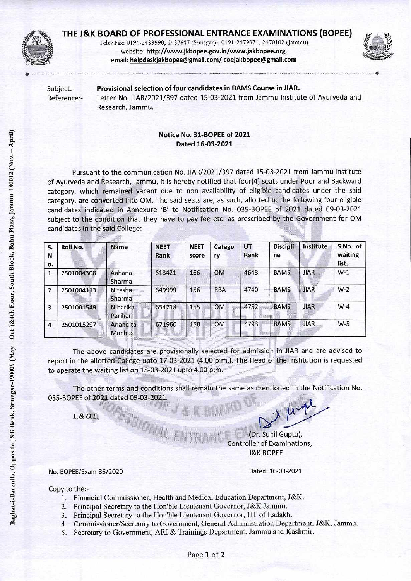

## **THE J&K BOARD OF PROFESSIONAL ENTRANCE EXAMINATIONS (BOPEE)**

Tele/Fax: 0194-2433590, 2437647 (Srinagar): 0191-2479371, 2470102 (Jammu) website: http://www.jkbopee.gov.in/www.jakbopee.org, email: helpdeskiakbopee@gmail.com/coejakbopee@gmail.com • •



Subject:- Provisional selection of four candidates in BAMS Course in JIAR. Reference:- Letter No. JIAR/2021/397 dated 15-03-2021 from Jammu Institute of Ayurveda and Research, Jammu.

## Notice No. 31-BOPEE of 2021 Dated 16-03-2021

Pursuant to the communication No. JIAR/2021/397 dated 15-03-2021 from Jammu Institute of Ayurveda and Research, Jammu, it is hereby notified that four(4) seats under Poor and Backward category, which remained vacant due to non availability of eligible candidates under the said category, are converted into OM. The said seats are, as such, allotted to the following four eligible candidates indicated in Annexure 'B' to Notification No. 035-BOPEE of 2021 dated 09-03-2021 subject to the condition that they have to pay fee etc. as prescribed by the Government for OM candidates in the said College:-

| S.<br>N<br>о.  | Roll No.   | <b>Name</b>         | <b>NEET</b><br>Rank | <b>NEET</b><br>score | Catego<br>ry | <b>UT</b><br>Rank | <b>Discipli</b><br>ne | Institute   | S.No. of<br>waiting<br>list. |
|----------------|------------|---------------------|---------------------|----------------------|--------------|-------------------|-----------------------|-------------|------------------------------|
| 1              | 2501004308 | Aahana<br>Sharma    | 618421              | 166                  | <b>OM</b>    | 4648              | <b>BAMS</b>           | <b>JIAR</b> | $W-1$                        |
| 2              | 2501004113 | Nitasha<br>Sharma   | 649999              | 156                  | <b>RBA</b>   | 4740              | <b>BAMS</b>           | <b>JIAR</b> | $W-2$                        |
| 3              | 2501001549 | Niharika<br>Parihar | 654718              | 155                  | <b>OM</b>    | 4752              | <b>BAMS</b>           | <b>JIAR</b> | $W-4$                        |
| $\overline{4}$ | 2501015297 | Anandita<br>Manhas  | 671960              | 150                  | <b>OM</b>    | 4793              | <b>BAMS</b>           | <b>JIAR</b> | $W-5$                        |

The above candidates are provisionally selected for admission in JIAR and are advised to report in the allotted College upto 17-03-2021 (4.00 p.m.). The Head of the Institution is requested to operate the waiting list on 18-03-2021 upto 4.00 p.m.

The other terms and conditions shall remain the same as mentioned in the Notification No. 035-BOPEE of 2021 dated 09-03-2021.

*E.& O.E.* 

(Dr. Sunil Gupta), Controller of Examinations, J&K BOPEE

No. BOPEE/Exam-35/2020

Dated: 16-03-2021

Copy to the:-

- 1. Financial Commissioner, Health and Medical Education Department, J&K.
- 2. Principal Secretary to the Hon'ble Lieutenant Governor, J&K Jammu.

SSYONNAL E

- 3. Principal Secretary to the Hon'ble Lieutenant Governor, UT of Ladakh.
- 4. Commissioner/Secretary to Government, General Administration Department, J&K, Jammu.
- 5. Secretary to Government, ARI & Trainings Department, Jammu and Kashmir.